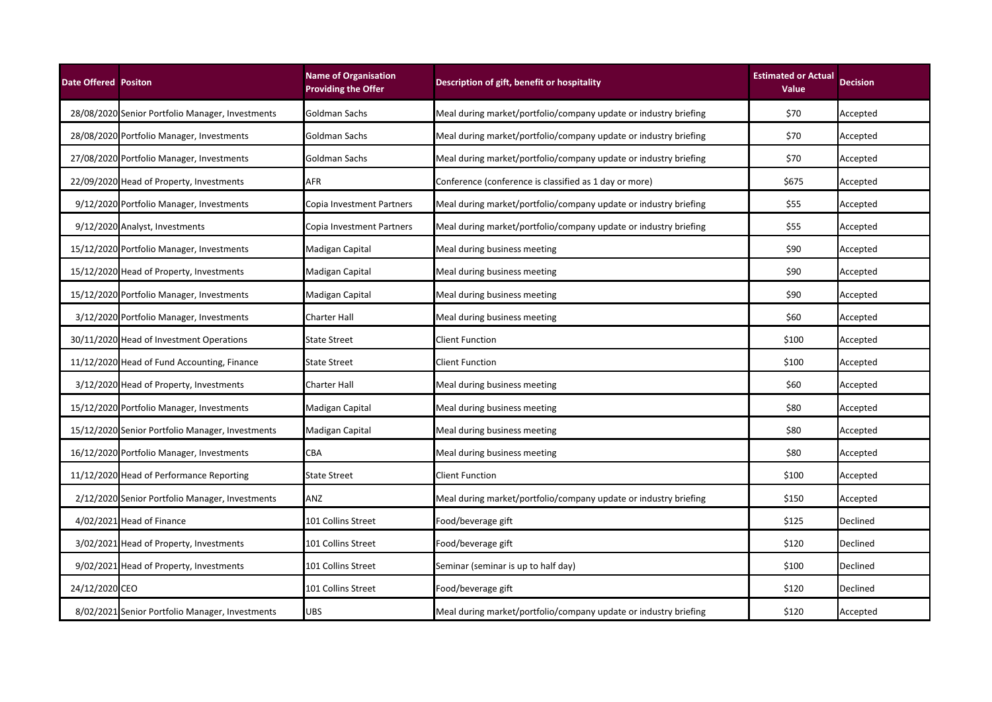| <b>Date Offered Positon</b> |                                                  | <b>Name of Organisation</b><br><b>Providing the Offer</b> | Description of gift, benefit or hospitality                      | <b>Estimated or Actual</b><br><b>Value</b> | <b>Decision</b> |
|-----------------------------|--------------------------------------------------|-----------------------------------------------------------|------------------------------------------------------------------|--------------------------------------------|-----------------|
|                             | 28/08/2020 Senior Portfolio Manager, Investments | Goldman Sachs                                             | Meal during market/portfolio/company update or industry briefing | \$70                                       | Accepted        |
|                             | 28/08/2020 Portfolio Manager, Investments        | Goldman Sachs                                             | Meal during market/portfolio/company update or industry briefing | \$70                                       | Accepted        |
|                             | 27/08/2020 Portfolio Manager, Investments        | Goldman Sachs                                             | Meal during market/portfolio/company update or industry briefing | \$70                                       | Accepted        |
|                             | 22/09/2020 Head of Property, Investments         | AFR                                                       | Conference (conference is classified as 1 day or more)           | \$675                                      | Accepted        |
|                             | 9/12/2020 Portfolio Manager, Investments         | Copia Investment Partners                                 | Meal during market/portfolio/company update or industry briefing | \$55                                       | Accepted        |
|                             | 9/12/2020 Analyst, Investments                   | Copia Investment Partners                                 | Meal during market/portfolio/company update or industry briefing | \$55                                       | Accepted        |
|                             | 15/12/2020 Portfolio Manager, Investments        | Madigan Capital                                           | Meal during business meeting                                     | \$90                                       | Accepted        |
|                             | 15/12/2020 Head of Property, Investments         | Madigan Capital                                           | Meal during business meeting                                     | \$90                                       | Accepted        |
|                             | 15/12/2020 Portfolio Manager, Investments        | Madigan Capital                                           | Meal during business meeting                                     | \$90                                       | Accepted        |
|                             | 3/12/2020 Portfolio Manager, Investments         | <b>Charter Hall</b>                                       | Meal during business meeting                                     | \$60                                       | Accepted        |
|                             | 30/11/2020 Head of Investment Operations         | <b>State Street</b>                                       | Client Function                                                  | \$100                                      | Accepted        |
|                             | 11/12/2020 Head of Fund Accounting, Finance      | <b>State Street</b>                                       | <b>Client Function</b>                                           | \$100                                      | Accepted        |
|                             | 3/12/2020 Head of Property, Investments          | Charter Hall                                              | Meal during business meeting                                     | \$60                                       | Accepted        |
|                             | 15/12/2020 Portfolio Manager, Investments        | Madigan Capital                                           | Meal during business meeting                                     | \$80                                       | Accepted        |
|                             | 15/12/2020 Senior Portfolio Manager, Investments | Madigan Capital                                           | Meal during business meeting                                     | \$80                                       | Accepted        |
|                             | 16/12/2020 Portfolio Manager, Investments        | CBA                                                       | Meal during business meeting                                     | \$80                                       | Accepted        |
|                             | 11/12/2020 Head of Performance Reporting         | <b>State Street</b>                                       | <b>Client Function</b>                                           | \$100                                      | Accepted        |
|                             | 2/12/2020 Senior Portfolio Manager, Investments  | ANZ                                                       | Meal during market/portfolio/company update or industry briefing | \$150                                      | Accepted        |
|                             | 4/02/2021 Head of Finance                        | 101 Collins Street                                        | Food/beverage gift                                               | \$125                                      | Declined        |
|                             | 3/02/2021 Head of Property, Investments          | 101 Collins Street                                        | Food/beverage gift                                               | \$120                                      | Declined        |
|                             | 9/02/2021 Head of Property, Investments          | 101 Collins Street                                        | Seminar (seminar is up to half day)                              | \$100                                      | Declined        |
| 24/12/2020 CEO              |                                                  | 101 Collins Street                                        | Food/beverage gift                                               | \$120                                      | Declined        |
|                             | 8/02/2021 Senior Portfolio Manager, Investments  | <b>UBS</b>                                                | Meal during market/portfolio/company update or industry briefing | \$120                                      | Accepted        |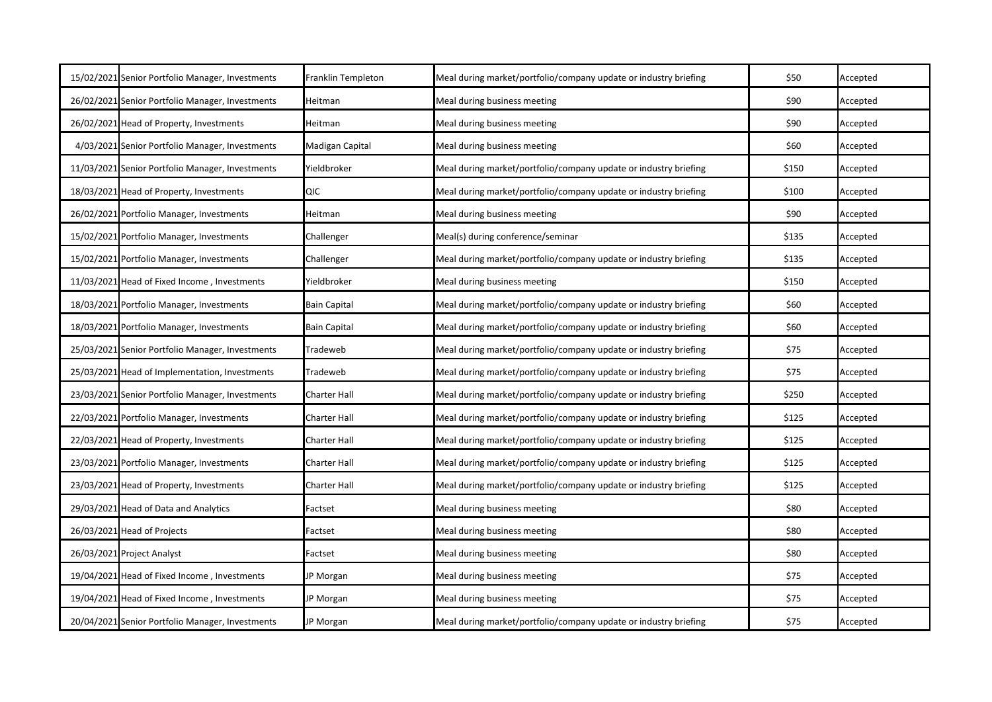| 15/02/2021 Senior Portfolio Manager, Investments | Franklin Templeton  | Meal during market/portfolio/company update or industry briefing | \$50  | Accepted |
|--------------------------------------------------|---------------------|------------------------------------------------------------------|-------|----------|
| 26/02/2021 Senior Portfolio Manager, Investments | Heitman             | Meal during business meeting                                     | \$90  | Accepted |
| 26/02/2021 Head of Property, Investments         | Heitman             | Meal during business meeting                                     | \$90  | Accepted |
| 4/03/2021 Senior Portfolio Manager, Investments  | Madigan Capital     | Meal during business meeting                                     | \$60  | Accepted |
| 11/03/2021 Senior Portfolio Manager, Investments | Yieldbroker         | Meal during market/portfolio/company update or industry briefing | \$150 | Accepted |
| 18/03/2021 Head of Property, Investments         | QIC                 | Meal during market/portfolio/company update or industry briefing | \$100 | Accepted |
| 26/02/2021 Portfolio Manager, Investments        | Heitman             | Meal during business meeting                                     | \$90  | Accepted |
| 15/02/2021 Portfolio Manager, Investments        | Challenger          | Meal(s) during conference/seminar                                | \$135 | Accepted |
| 15/02/2021 Portfolio Manager, Investments        | Challenger          | Meal during market/portfolio/company update or industry briefing | \$135 | Accepted |
| 11/03/2021 Head of Fixed Income, Investments     | Yieldbroker         | Meal during business meeting                                     | \$150 | Accepted |
| 18/03/2021 Portfolio Manager, Investments        | <b>Bain Capital</b> | Meal during market/portfolio/company update or industry briefing | \$60  | Accepted |
| 18/03/2021 Portfolio Manager, Investments        | <b>Bain Capital</b> | Meal during market/portfolio/company update or industry briefing | \$60  | Accepted |
| 25/03/2021 Senior Portfolio Manager, Investments | Tradeweb            | Meal during market/portfolio/company update or industry briefing | \$75  | Accepted |
| 25/03/2021 Head of Implementation, Investments   | Tradeweb            | Meal during market/portfolio/company update or industry briefing | \$75  | Accepted |
| 23/03/2021 Senior Portfolio Manager, Investments | <b>Charter Hall</b> | Meal during market/portfolio/company update or industry briefing | \$250 | Accepted |
| 22/03/2021 Portfolio Manager, Investments        | <b>Charter Hall</b> | Meal during market/portfolio/company update or industry briefing | \$125 | Accepted |
| 22/03/2021 Head of Property, Investments         | <b>Charter Hall</b> | Meal during market/portfolio/company update or industry briefing | \$125 | Accepted |
| 23/03/2021 Portfolio Manager, Investments        | <b>Charter Hall</b> | Meal during market/portfolio/company update or industry briefing | \$125 | Accepted |
| 23/03/2021 Head of Property, Investments         | <b>Charter Hall</b> | Meal during market/portfolio/company update or industry briefing | \$125 | Accepted |
| 29/03/2021 Head of Data and Analytics            | Factset             | Meal during business meeting                                     | \$80  | Accepted |
| 26/03/2021 Head of Projects                      | Factset             | Meal during business meeting                                     | \$80  | Accepted |
| 26/03/2021 Project Analyst                       | Factset             | Meal during business meeting                                     | \$80  | Accepted |
| 19/04/2021 Head of Fixed Income, Investments     | JP Morgan           | Meal during business meeting                                     | \$75  | Accepted |
| 19/04/2021 Head of Fixed Income, Investments     | JP Morgan           | Meal during business meeting                                     | \$75  | Accepted |
| 20/04/2021 Senior Portfolio Manager, Investments | JP Morgan           | Meal during market/portfolio/company update or industry briefing | \$75  | Accepted |